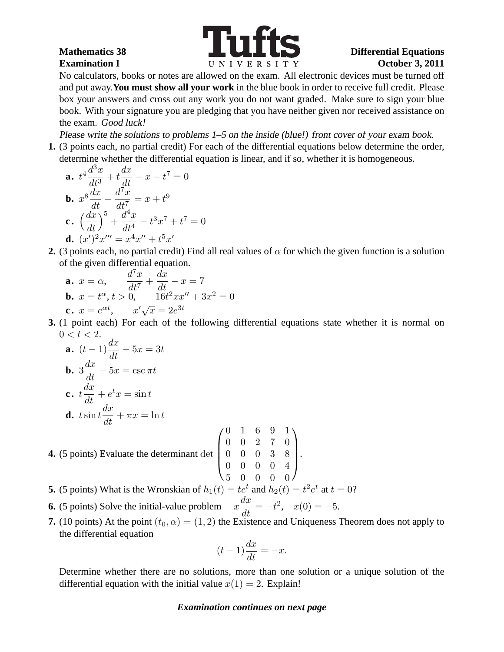

No calculators, books or notes are allowed on the exam. All electronic devices must be turned off and put away.**You must show all your work** in the blue book in order to receive full credit. Please box your answers and cross out any work you do not want graded. Make sure to sign your blue book. With your signature you are pledging that you have neither given nor received assistance on the exam. Good luck!

Please write the solutions to problems 1–5 on the inside (blue!) front cover of your exam book.

**1.** (3 points each, no partial credit) For each of the differential equations below determine the order, determine whether the differential equation is linear, and if so, whether it is homogeneous.

**a.** 
$$
t^4 \frac{d^3x}{dt^3} + t \frac{dx}{dt} - x - t^7 = 0
$$
  
\n**b.**  $x^8 \frac{dx}{dt} + \frac{d^7x}{dt^7} = x + t^9$   
\n**c.**  $\left(\frac{dx}{dt}\right)^5 + \frac{d^4x}{dt^4} - t^3x^7 + t^7 = 0$   
\n**d.**  $(x')^2 x''' = x^4 x'' + t^5 x'$ 

**2.** (3 points each, no partial credit) Find all real values of  $\alpha$  for which the given function is a solution of the given differential equation.

**a.** 
$$
x = \alpha
$$
,  $\frac{d^7x}{dt^7} + \frac{dx}{dt} - x = 7$   
\n**b.**  $x = t^{\alpha}$ ,  $t > 0$ ,  $16t^2xx'' + 3x^2 = 0$   
\n**c.**  $x = e^{\alpha t}$ ,  $x'\sqrt{x} = 2e^{3t}$ 

**3.** (1 point each) For each of the following differential equations state whether it is normal on  $0 < t < 2$ .

**a.** 
$$
(t-1)\frac{dx}{dt} - 5x = 3t
$$
  
\n**b.**  $3\frac{dx}{dt} - 5x = \csc \pi t$   
\n**c.**  $t\frac{dx}{dt} + e^t x = \sin t$   
\n**d.**  $t \sin t \frac{dx}{dt} + \pi x = \ln t$ 

**4.** (5 points) Evaluate the determinant det  $\overline{\phantom{a}}$ 

```
\sqrt{ }0 1 6 9 1
0 0 2 7 0
0 0 0 3 8
0 0 0 0 4
5 0 0 0 0
                \setminus\left| \cdot \right|
```
- **5.** (5 points) What is the Wronskian of  $h_1(t) = te^t$  and  $h_2(t) = t^2 e^t$  at  $t = 0$ ?
- **6.** (5 points) Solve the initial-value problem  $x \frac{dx}{dt}$  $\frac{dx}{dt} = -t^2$ ,  $x(0) = -5$ .
- **7.** (10 points) At the point  $(t_0, \alpha) = (1, 2)$  the Existence and Uniqueness Theorem does not apply to the differential equation

$$
(t-1)\frac{dx}{dt} = -x.
$$

Determine whether there are no solutions, more than one solution or a unique solution of the differential equation with the initial value  $x(1) = 2$ . Explain!

## *Examination continues on next page*